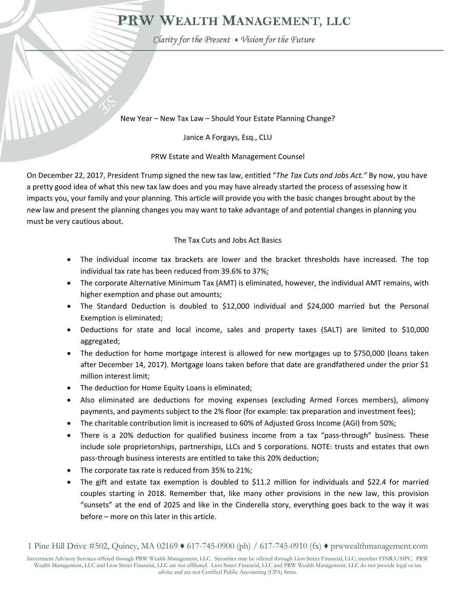## PRW WEALTH MANAGEMENT, LLC

Clarity for the Present . Vision for the Future

New Year – New Tax Law – Should Your Estate Planning Change?

Janice A Forgays, Esq., CLU

## PRW Estate and Wealth Management Counsel

On December 22, 2017, President Trump signed the new tax law, entitled "*The Tax Cuts and Jobs Act."* By now, you have a pretty good idea of what this new tax law does and you may have already started the process of assessing how it impacts you, your family and your planning. This article will provide you with the basic changes brought about by the new law and present the planning changes you may want to take advantage of and potential changes in planning you must be very cautious about.

## The Tax Cuts and Jobs Act Basics

- The individual income tax brackets are lower and the bracket thresholds have increased. The top individual tax rate has been reduced from 39.6% to 37%;
- The corporate Alternative Minimum Tax (AMT) is eliminated, however, the individual AMT remains, with higher exemption and phase out amounts;
- The Standard Deduction is doubled to \$12,000 individual and \$24,000 married but the Personal Exemption is eliminated;
- Deductions for state and local income, sales and property taxes (SALT) are limited to \$10,000 aggregated;
- The deduction for home mortgage interest is allowed for new mortgages up to \$750,000 (loans taken after December 14, 2017). Mortgage loans taken before that date are grandfathered under the prior \$1 million interest limit;
- The deduction for Home Equity Loans is eliminated;
- Also eliminated are deductions for moving expenses (excluding Armed Forces members), alimony payments, and payments subject to the 2% floor (for example: tax preparation and investment fees);
- The charitable contribution limit is increased to 60% of Adjusted Gross Income (AGI) from 50%;
- There is a 20% deduction for qualified business income from a tax "pass-through" business. These include sole proprietorships, partnerships, LLCs and S corporations. NOTE: trusts and estates that own pass-through business interests are entitled to take this 20% deduction;
- The corporate tax rate is reduced from 35% to 21%;
- The gift and estate tax exemption is doubled to \$11.2 million for individuals and \$22.4 for married couples starting in 2018. Remember that, like many other provisions in the new law, this provision "sunsets" at the end of 2025 and like in the Cinderella story, everything goes back to the way it was before – more on this later in this article.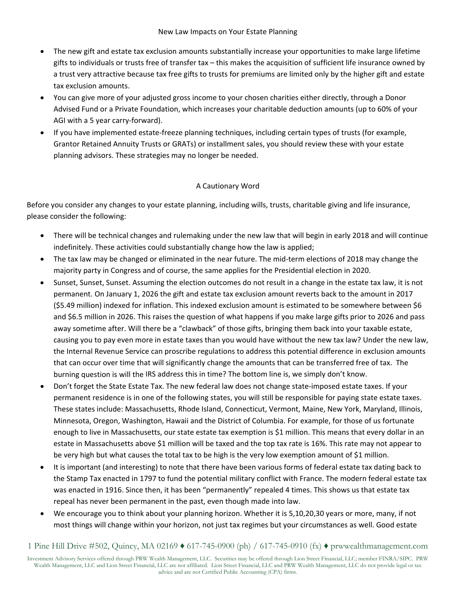- The new gift and estate tax exclusion amounts substantially increase your opportunities to make large lifetime gifts to individuals or trusts free of transfer tax – this makes the acquisition of sufficient life insurance owned by a trust very attractive because tax free gifts to trusts for premiums are limited only by the higher gift and estate tax exclusion amounts.
- You can give more of your adjusted gross income to your chosen charities either directly, through a Donor Advised Fund or a Private Foundation, which increases your charitable deduction amounts (up to 60% of your AGI with a 5 year carry‐forward).
- If you have implemented estate‐freeze planning techniques, including certain types of trusts (for example, Grantor Retained Annuity Trusts or GRATs) or installment sales, you should review these with your estate planning advisors. These strategies may no longer be needed.

## A Cautionary Word

Before you consider any changes to your estate planning, including wills, trusts, charitable giving and life insurance, please consider the following:

- There will be technical changes and rulemaking under the new law that will begin in early 2018 and will continue indefinitely. These activities could substantially change how the law is applied;
- The tax law may be changed or eliminated in the near future. The mid‐term elections of 2018 may change the majority party in Congress and of course, the same applies for the Presidential election in 2020.
- Sunset, Sunset, Sunset. Assuming the election outcomes do not result in a change in the estate tax law, it is not permanent. On January 1, 2026 the gift and estate tax exclusion amount reverts back to the amount in 2017 (\$5.49 million) indexed for inflation. This indexed exclusion amount is estimated to be somewhere between \$6 and \$6.5 million in 2026. This raises the question of what happens if you make large gifts prior to 2026 and pass away sometime after. Will there be a "clawback" of those gifts, bringing them back into your taxable estate, causing you to pay even more in estate taxes than you would have without the new tax law? Under the new law, the Internal Revenue Service can proscribe regulations to address this potential difference in exclusion amounts that can occur over time that will significantly change the amounts that can be transferred free of tax. The burning question is will the IRS address this in time? The bottom line is, we simply don't know.
- Don't forget the State Estate Tax. The new federal law does not change state-imposed estate taxes. If your permanent residence is in one of the following states, you will still be responsible for paying state estate taxes. These states include: Massachusetts, Rhode Island, Connecticut, Vermont, Maine, New York, Maryland, Illinois, Minnesota, Oregon, Washington, Hawaii and the District of Columbia. For example, for those of us fortunate enough to live in Massachusetts, our state estate tax exemption is \$1 million. This means that every dollar in an estate in Massachusetts above \$1 million will be taxed and the top tax rate is 16%. This rate may not appear to be very high but what causes the total tax to be high is the very low exemption amount of \$1 million.
- It is important (and interesting) to note that there have been various forms of federal estate tax dating back to the Stamp Tax enacted in 1797 to fund the potential military conflict with France. The modern federal estate tax was enacted in 1916. Since then, it has been "permanently" repealed 4 times. This shows us that estate tax repeal has never been permanent in the past, even though made into law.
- We encourage you to think about your planning horizon. Whether it is 5,10,20,30 years or more, many, if not most things will change within your horizon, not just tax regimes but your circumstances as well. Good estate

1 Pine Hill Drive #502, Quincy, MA 02169 ♦ 617-745-0900 (ph) / 617-745-0910 (fx) ♦ prwwealthmanagement.com

Investment Advisory Services offered through PRW Wealth Management, LLC. Securities may be offered through Lion Street Financial, LLC; member FINRA/SIPC. PRW Wealth Management, LLC and Lion Street Financial, LLC are not affiliated. Lion Street Financial, LLC and PRW Wealth Management, LLC do not provide legal or tax advice and are not Certified Public Accounting (CPA) firms.